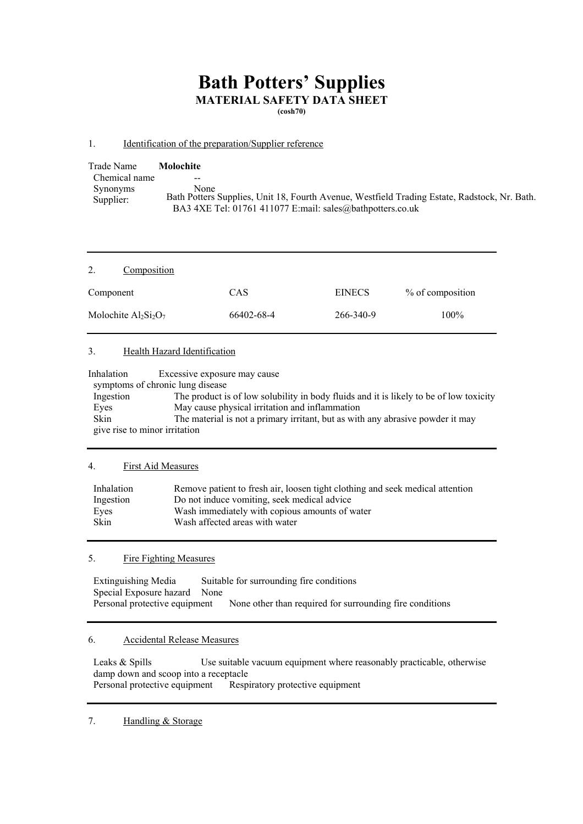# **Bath Potters' Supplies MATERIAL SAFETY DATA SHEET**

**(cosh70)** 

## 1. Identification of the preparation/Supplier reference

| Trade Name            | Molochite                                                                                                                                                         |
|-----------------------|-------------------------------------------------------------------------------------------------------------------------------------------------------------------|
| Chemical name         | --                                                                                                                                                                |
| Synonyms<br>Supplier: | None<br>Bath Potters Supplies, Unit 18, Fourth Avenue, Westfield Trading Estate, Radstock, Nr. Bath.<br>BA3 4XE Tel: 01761 411077 E:mail: sales@bathpotters.co.uk |

| 2.<br>Composition       |            |               |                  |
|-------------------------|------------|---------------|------------------|
| Component               | CAS        | <b>EINECS</b> | % of composition |
| Molochite $Al_2Si_2O_7$ | 66402-68-4 | 266-340-9     | $100\%$          |

## 3. Health Hazard Identification

| Inhalation                    | Excessive exposure may cause                                                           |  |
|-------------------------------|----------------------------------------------------------------------------------------|--|
|                               | symptoms of chronic lung disease                                                       |  |
| Ingestion                     | The product is of low solubility in body fluids and it is likely to be of low toxicity |  |
| Eyes                          | May cause physical irritation and inflammation                                         |  |
| <b>Skin</b>                   | The material is not a primary irritant, but as with any abrasive powder it may         |  |
| give rise to minor irritation |                                                                                        |  |

# 4. First Aid Measures

| Inhalation  | Remove patient to fresh air, loosen tight clothing and seek medical attention |
|-------------|-------------------------------------------------------------------------------|
| Ingestion   | Do not induce vomiting, seek medical advice                                   |
| Eves        | Wash immediately with copious amounts of water                                |
| <b>Skin</b> | Wash affected areas with water                                                |

# 5. Fire Fighting Measures

Extinguishing Media Suitable for surrounding fire conditions Special Exposure hazard None Personal protective equipment None other than required for surrounding fire conditions

#### 6. Accidental Release Measures

Leaks & Spills Use suitable vacuum equipment where reasonably practicable, otherwise damp down and scoop into a receptacle<br>Personal protective equipment Resp Respiratory protective equipment

#### 7. Handling & Storage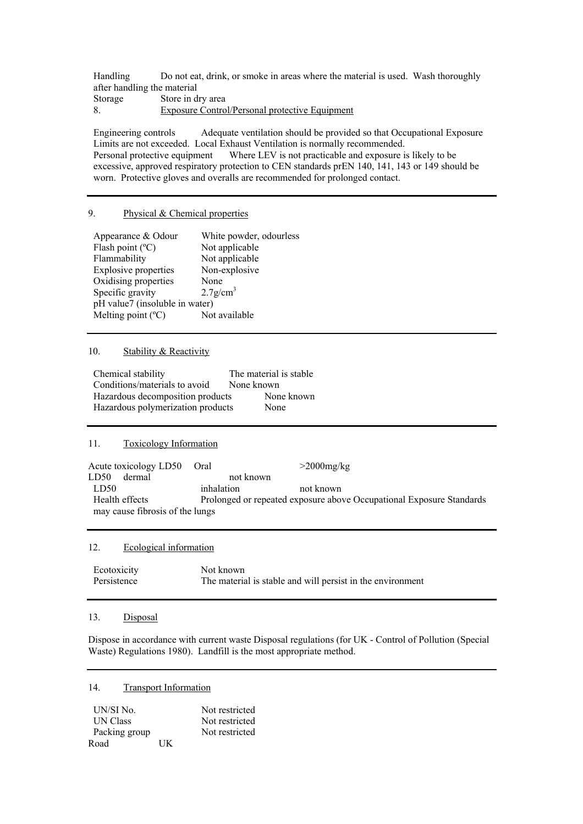Handling Do not eat, drink, or smoke in areas where the material is used. Wash thoroughly after handling the material Storage Store in dry area 8. Exposure Control/Personal protective Equipment

Engineering controls Adequate ventilation should be provided so that Occupational Exposure Limits are not exceeded. Local Exhaust Ventilation is normally recommended. Personal protective equipment Where LEV is not practicable and exposure is likely to be excessive, approved respiratory protection to CEN standards prEN 140, 141, 143 or 149 should be worn. Protective gloves and overalls are recommended for prolonged contact.

## 9. Physical & Chemical properties

| Appearance & Odour             | White powder, odourless |  |  |
|--------------------------------|-------------------------|--|--|
| Flash point $(^{\circ}C)$      | Not applicable          |  |  |
| Flammability                   | Not applicable          |  |  |
| <b>Explosive properties</b>    | Non-explosive           |  |  |
| Oxidising properties           | None                    |  |  |
| Specific gravity               | $2.7$ g/cm <sup>3</sup> |  |  |
| pH value7 (insoluble in water) |                         |  |  |
| Melting point $(^{\circ}C)$    | Not available           |  |  |

#### 10. Stability & Reactivity

| Chemical stability                | The material is stable |
|-----------------------------------|------------------------|
| Conditions/materials to avoid     | None known             |
| Hazardous decomposition products  | None known             |
| Hazardous polymerization products | None                   |

# 11. Toxicology Information

Acute toxicology LD50 Oral  $>2000$ mg/kg LD50 dermal not known LD50 inhalation not known Health effects Prolonged or repeated exposure above Occupational Exposure Standards may cause fibrosis of the lungs

## 12. Ecological information

| Ecotoxicity | Not known                                                  |
|-------------|------------------------------------------------------------|
| Persistence | The material is stable and will persist in the environment |

#### 13. Disposal

Dispose in accordance with current waste Disposal regulations (for UK - Control of Pollution (Special Waste) Regulations 1980). Landfill is the most appropriate method.

## 14. Transport Information

| UN/SI No.       |    | Not restricted |
|-----------------|----|----------------|
| <b>UN Class</b> |    | Not restricted |
| Packing group   |    | Not restricted |
| Road            | ĦК |                |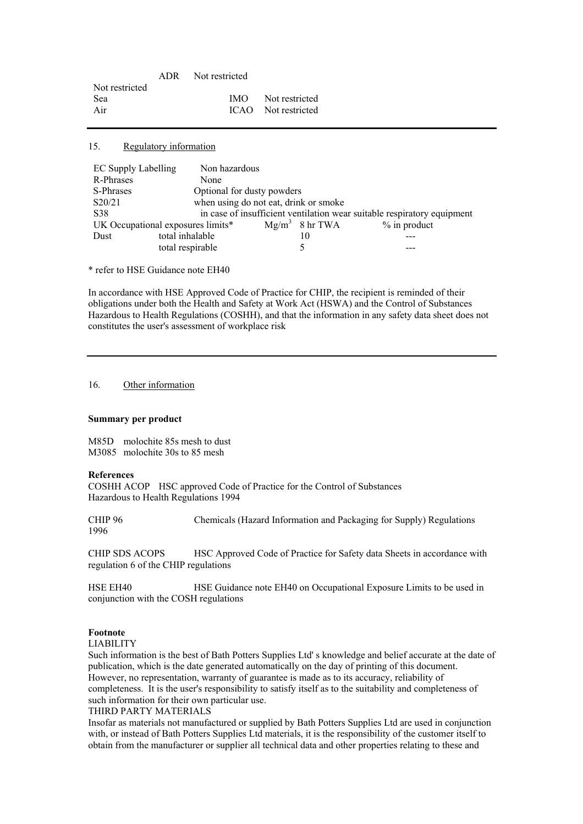| <b>IMO</b> Not restricted |
|---------------------------|
| ICAO Not restricted       |
|                           |

15. Regulatory information

| EC Supply Labelling               | Non hazardous                                                           |                                       |                   |                |  |
|-----------------------------------|-------------------------------------------------------------------------|---------------------------------------|-------------------|----------------|--|
| R-Phrases                         | None                                                                    |                                       |                   |                |  |
| S-Phrases                         |                                                                         | Optional for dusty powders            |                   |                |  |
| S20/21                            |                                                                         | when using do not eat, drink or smoke |                   |                |  |
| S38                               | in case of insufficient ventilation wear suitable respiratory equipment |                                       |                   |                |  |
| UK Occupational exposures limits* |                                                                         |                                       | $Mg/m^3$ 8 hr TWA | $%$ in product |  |
| Dust                              | total inhalable                                                         |                                       | 10                |                |  |
|                                   | total respirable                                                        |                                       |                   |                |  |

\* refer to HSE Guidance note EH40

In accordance with HSE Approved Code of Practice for CHIP, the recipient is reminded of their obligations under both the Health and Safety at Work Act (HSWA) and the Control of Substances Hazardous to Health Regulations (COSHH), and that the information in any safety data sheet does not constitutes the user's assessment of workplace risk

16. Other information

#### **Summary per product**

M85D molochite 85s mesh to dust M3085 molochite 30s to 85 mesh

#### **References**

COSHH ACOP HSC approved Code of Practice for the Control of Substances Hazardous to Health Regulations 1994

CHIP 96 Chemicals (Hazard Information and Packaging for Supply) Regulations 1996

CHIP SDS ACOPS HSC Approved Code of Practice for Safety data Sheets in accordance with regulation 6 of the CHIP regulations

HSE EH40 HSE Guidance note EH40 on Occupational Exposure Limits to be used in conjunction with the COSH regulations

## **Footnote**

LIABILITY

Such information is the best of Bath Potters Supplies Ltd' s knowledge and belief accurate at the date of publication, which is the date generated automatically on the day of printing of this document. However, no representation, warranty of guarantee is made as to its accuracy, reliability of completeness. It is the user's responsibility to satisfy itself as to the suitability and completeness of such information for their own particular use.

#### THIRD PARTY MATERIALS

Insofar as materials not manufactured or supplied by Bath Potters Supplies Ltd are used in conjunction with, or instead of Bath Potters Supplies Ltd materials, it is the responsibility of the customer itself to obtain from the manufacturer or supplier all technical data and other properties relating to these and